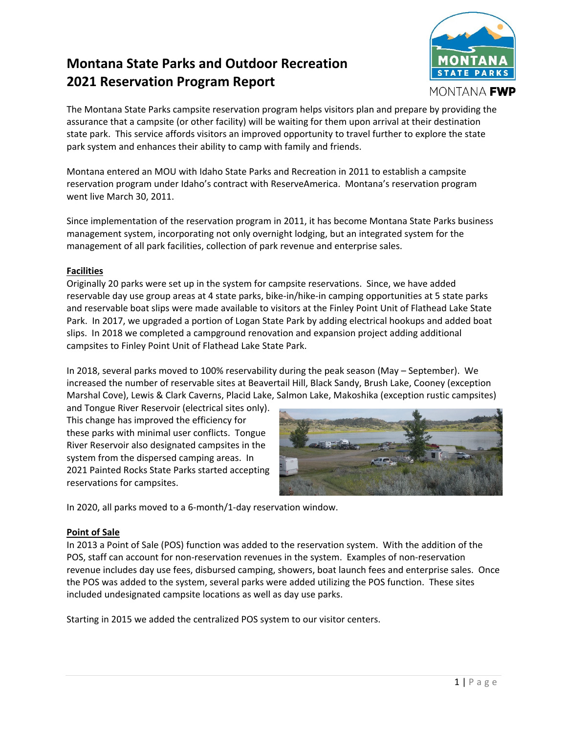## **Montana State Parks and Outdoor Recreation 2021 Reservation Program Report**



The Montana State Parks campsite reservation program helps visitors plan and prepare by providing the assurance that a campsite (or other facility) will be waiting for them upon arrival at their destination state park. This service affords visitors an improved opportunity to travel further to explore the state park system and enhances their ability to camp with family and friends.

Montana entered an MOU with Idaho State Parks and Recreation in 2011 to establish a campsite reservation program under Idaho's contract with ReserveAmerica. Montana's reservation program went live March 30, 2011.

Since implementation of the reservation program in 2011, it has become Montana State Parks business management system, incorporating not only overnight lodging, but an integrated system for the management of all park facilities, collection of park revenue and enterprise sales.

#### **Facilities**

Originally 20 parks were set up in the system for campsite reservations. Since, we have added reservable day use group areas at 4 state parks, bike‐in/hike‐in camping opportunities at 5 state parks and reservable boat slips were made available to visitors at the Finley Point Unit of Flathead Lake State Park. In 2017, we upgraded a portion of Logan State Park by adding electrical hookups and added boat slips. In 2018 we completed a campground renovation and expansion project adding additional campsites to Finley Point Unit of Flathead Lake State Park.

In 2018, several parks moved to 100% reservability during the peak season (May – September). We increased the number of reservable sites at Beavertail Hill, Black Sandy, Brush Lake, Cooney (exception Marshal Cove), Lewis & Clark Caverns, Placid Lake, Salmon Lake, Makoshika (exception rustic campsites)

and Tongue River Reservoir (electrical sites only). This change has improved the efficiency for these parks with minimal user conflicts. Tongue River Reservoir also designated campsites in the system from the dispersed camping areas. In 2021 Painted Rocks State Parks started accepting reservations for campsites.



In 2020, all parks moved to a 6‐month/1‐day reservation window.

#### **Point of Sale**

In 2013 a Point of Sale (POS) function was added to the reservation system. With the addition of the POS, staff can account for non‐reservation revenues in the system. Examples of non‐reservation revenue includes day use fees, disbursed camping, showers, boat launch fees and enterprise sales. Once the POS was added to the system, several parks were added utilizing the POS function. These sites included undesignated campsite locations as well as day use parks.

Starting in 2015 we added the centralized POS system to our visitor centers.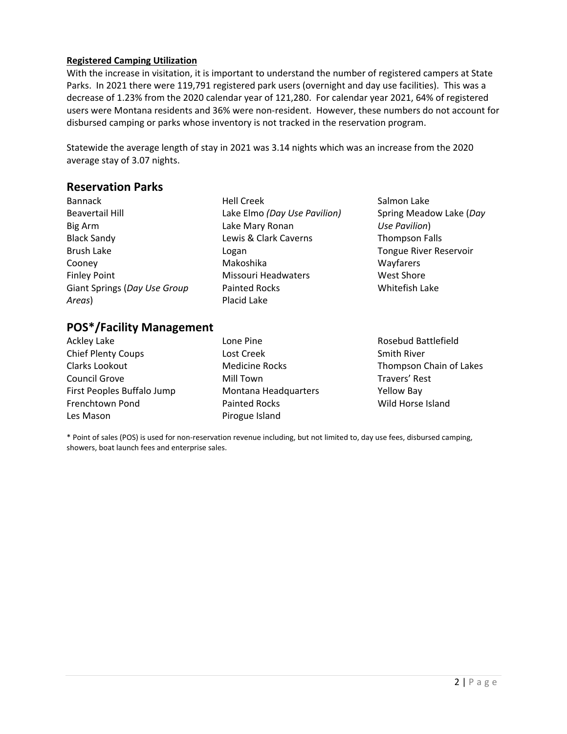#### **Registered Camping Utilization**

With the increase in visitation, it is important to understand the number of registered campers at State Parks. In 2021 there were 119,791 registered park users (overnight and day use facilities). This was a decrease of 1.23% from the 2020 calendar year of 121,280. For calendar year 2021, 64% of registered users were Montana residents and 36% were non-resident. However, these numbers do not account for disbursed camping or parks whose inventory is not tracked in the reservation program.

Statewide the average length of stay in 2021 was 3.14 nights which was an increase from the 2020 average stay of 3.07 nights.

### **Reservation Parks**

- Bannack Beavertail Hill Big Arm Black Sandy Brush Lake Cooney Finley Point Giant Springs (*Day Use Group Areas*)
- Hell Creek Lake Elmo *(Day Use Pavilion)* Lake Mary Ronan Lewis & Clark Caverns Logan Makoshika Missouri Headwaters Painted Rocks Placid Lake
- Salmon Lake Spring Meadow Lake (*Day Use Pavilion*) Thompson Falls Tongue River Reservoir Wayfarers West Shore Whitefish Lake

## **POS\*/Facility Management**

| Ackley Lake                | Lone Pine             | Rosebud Battlefield     |
|----------------------------|-----------------------|-------------------------|
| <b>Chief Plenty Coups</b>  | Lost Creek            | <b>Smith River</b>      |
| Clarks Lookout             | <b>Medicine Rocks</b> | Thompson Chain of Lakes |
| Council Grove              | Mill Town             | Travers' Rest           |
| First Peoples Buffalo Jump | Montana Headquarters  | <b>Yellow Bay</b>       |
| Frenchtown Pond            | <b>Painted Rocks</b>  | Wild Horse Island       |
| Les Mason                  | Pirogue Island        |                         |

\* Point of sales (POS) is used for non‐reservation revenue including, but not limited to, day use fees, disbursed camping, showers, boat launch fees and enterprise sales.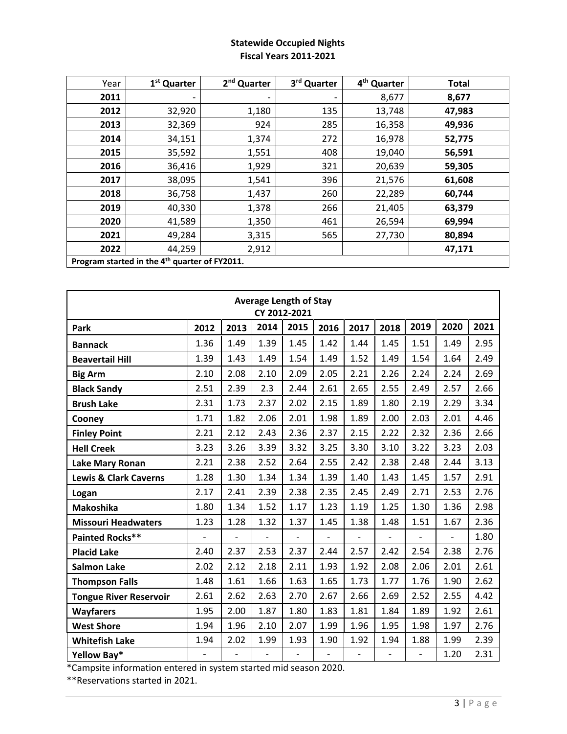#### **Statewide Occupied Nights Fiscal Years 2011‐2021**

| Year | 1 <sup>st</sup> Quarter | 2 <sup>nd</sup> Quarter | 3rd Quarter | 4 <sup>th</sup> Quarter | <b>Total</b> |
|------|-------------------------|-------------------------|-------------|-------------------------|--------------|
| 2011 |                         | ۰                       |             | 8,677                   | 8,677        |
| 2012 | 32,920                  | 1,180                   | 135         | 13,748                  | 47,983       |
| 2013 | 32,369                  | 924                     | 285         | 16,358                  | 49,936       |
| 2014 | 34,151                  | 1,374                   | 272         | 16,978                  | 52,775       |
| 2015 | 35,592                  | 1,551                   | 408         | 19,040                  | 56,591       |
| 2016 | 36,416                  | 1,929                   | 321         | 20,639                  | 59,305       |
| 2017 | 38,095                  | 1,541                   | 396         | 21,576                  | 61,608       |
| 2018 | 36,758                  | 1,437                   | 260         | 22,289                  | 60,744       |
| 2019 | 40,330                  | 1,378                   | 266         | 21,405                  | 63,379       |
| 2020 | 41,589                  | 1,350                   | 461         | 26,594                  | 69,994       |
| 2021 | 49,284                  | 3,315                   | 565         | 27,730                  | 80,894       |
| 2022 | 44,259                  | 2,912                   |             |                         | 47,171       |

**Average Length of Stay CY 2012‐2021 Park 2012 2013 2014 2015 2016 2017 2018 2019 2020 2021 Bannack** 1.36 | 1.49 | 1.39 | 1.45 | 1.42 | 1.44 | 1.45 | 1.51 | 1.49 | 2.95 **Beavertail Hill** 1.39 1.43 1.49 1.54 1.49 1.52 1.49 1.54 1.64 2.49 **Big Arm** 2.10 2.08 2.10 2.09 2.05 2.21 2.26 2.24 2.24 2.69 **Black Sandy** 2.51 2.39 2.3 2.44 2.61 2.65 2.55 2.49 2.57 2.66 **Brush Lake** 2.31 1.73 2.37 2.02 2.15 1.89 1.80 2.19 2.29 3.34 **Cooney** 1.71 1.82 2.06 2.01 1.98 1.89 2.00 2.03 2.01 4.46 **Finley Point** 2.21 | 2.12 | 2.43 | 2.36 | 2.37 | 2.15 | 2.22 | 2.32 | 2.36 | 2.66 **Hell Creek** 3.23 3.26 3.39 3.32 3.25 3.30 3.10 3.22 3.23 2.03 **Lake Mary Ronan** 2.21 2.38 2.52 2.64 2.55 2.42 2.38 2.48 2.44 3.13 **Lewis & Clark Caverns** 1.28 1.30 1.34 1.34 1.39 1.40 1.43 1.45 1.57 2.91 **Logan** 2.17 2.41 2.39 2.38 2.35 2.45 2.49 2.71 2.53 2.76 **Makoshika** 1.80 1.34 1.52 1.17 1.23 1.19 1.25 1.30 1.36 2.98 **Missouri Headwaters** | 1.23 | 1.28 | 1.32 | 1.37 | 1.45 | 1.38 | 1.48 | 1.51 | 1.67 | 2.36 **Painted Rocks\*\*** ‐ ‐ ‐ ‐ ‐ ‐ ‐ ‐ ‐ 1.80 **Placid Lake** 2.40 2.37 2.53 2.37 2.44 2.57 2.42 2.54 2.38 2.76 **Salmon Lake** 2.02 2.12 2.18 2.11 1.93 1.92 2.08 2.06 2.01 2.61 **Thompson Falls** 1.48 1.61 1.66 1.63 1.65 1.73 1.77 1.76 1.90 2.62 **Tongue River Reservoir** 2.61 2.62 2.63 2.70 2.67 2.66 2.69 2.52 2.55 4.42 **Wayfarers** 1.95 | 2.00 | 1.87 | 1.80 | 1.83 | 1.81 | 1.84 | 1.89 | 1.92 | 2.61 **West Shore** 1.94 1.96 2.10 2.07 1.99 1.96 1.95 1.98 1.97 2.76 **Whitefish Lake** 1.94 | 2.02 | 1.99 | 1.93 | 1.90 | 1.92 | 1.94 | 1.88 | 1.99 | 2.39 **Yellow Bay\*** ‐ ‐ ‐ ‐ ‐ ‐ ‐ ‐ 1.20 2.31

\*Campsite information entered in system started mid season 2020.

\*\*Reservations started in 2021.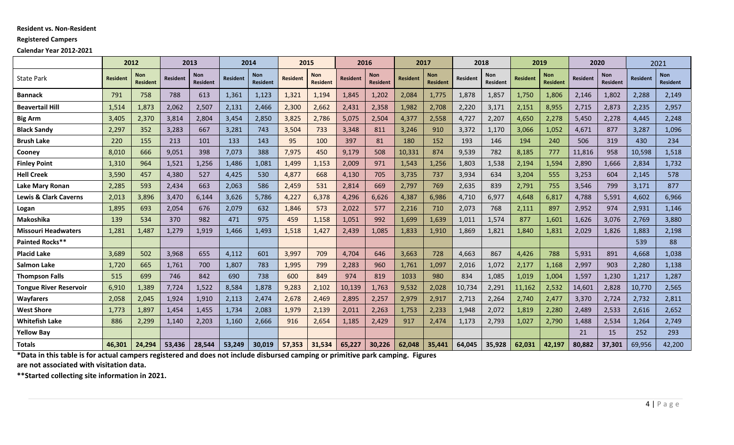#### **Resident vs. Non‐Resident**

#### **Registered Campers**

#### **Calendar Year 2012‐2021**

|                                  | 2012            |                               | 2013            |                 | 2014            |                 | 2015            |                 | 2016            |                 | 2017            |                               | 2018            |                 |                 | 2019                   | 2020     |                               |                 | 2021                          |
|----------------------------------|-----------------|-------------------------------|-----------------|-----------------|-----------------|-----------------|-----------------|-----------------|-----------------|-----------------|-----------------|-------------------------------|-----------------|-----------------|-----------------|------------------------|----------|-------------------------------|-----------------|-------------------------------|
| <b>State Park</b>                | <b>Resident</b> | <b>Non</b><br><b>Resident</b> | <b>Resident</b> | Non<br>Resident | <b>Resident</b> | Non<br>Resident | <b>Resident</b> | Non<br>Resident | <b>Resident</b> | Non<br>Resident | <b>Resident</b> | <b>Non</b><br><b>Resident</b> | <b>Resident</b> | Non<br>Resident | <b>Resident</b> | <b>Non</b><br>Resident | Resident | <b>Non</b><br><b>Resident</b> | <b>Resident</b> | <b>Non</b><br><b>Resident</b> |
| <b>Bannack</b>                   | 791             | 758                           | 788             | 613             | 1,361           | 1,123           | 1,321           | 1,194           | 1,845           | 1,202           | 2,084           | 1,775                         | 1,878           | 1,857           | 1,750           | 1,806                  | 2,146    | 1,802                         | 2,288           | 2,149                         |
| <b>Beavertail Hill</b>           | 1,514           | 1,873                         | 2,062           | 2,507           | 2,131           | 2,466           | 2,300           | 2,662           | 2,431           | 2,358           | 1,982           | 2,708                         | 2,220           | 3,171           | 2,151           | 8,955                  | 2,715    | 2,873                         | 2,235           | 2,957                         |
| <b>Big Arm</b>                   | 3,405           | 2,370                         | 3,814           | 2,804           | 3,454           | 2,850           | 3,825           | 2,786           | 5,075           | 2,504           | 4,377           | 2,558                         | 4,727           | 2,207           | 4,650           | 2,278                  | 5,450    | 2,278                         | 4,445           | 2,248                         |
| <b>Black Sandy</b>               | 2,297           | 352                           | 3,283           | 667             | 3,281           | 743             | 3,504           | 733             | 3,348           | 811             | 3,246           | 910                           | 3,372           | 1,170           | 3,066           | 1,052                  | 4,671    | 877                           | 3,287           | 1,096                         |
| <b>Brush Lake</b>                | 220             | 155                           | 213             | 101             | 133             | 143             | 95              | 100             | 397             | 81              | 180             | 152                           | 193             | 146             | 194             | 240                    | 506      | 319                           | 430             | 234                           |
| Cooney                           | 8,010           | 666                           | 9,051           | 398             | 7,073           | 388             | 7,975           | 450             | 9,179           | 508             | 10,331          | 874                           | 9,539           | 782             | 8,185           | 777                    | 11,816   | 958                           | 10,598          | 1,518                         |
| <b>Finley Point</b>              | 1,310           | 964                           | 1,521           | 1,256           | 1,486           | 1,081           | 1,499           | 1,153           | 2,009           | 971             | 1,543           | 1,256                         | 1,803           | 1,538           | 2,194           | 1,594                  | 2,890    | 1,666                         | 2,834           | 1,732                         |
| <b>Hell Creek</b>                | 3,590           | 457                           | 4,380           | 527             | 4,425           | 530             | 4,877           | 668             | 4,130           | 705             | 3,735           | 737                           | 3,934           | 634             | 3,204           | 555                    | 3,253    | 604                           | 2,145           | 578                           |
| Lake Mary Ronan                  | 2,285           | 593                           | 2,434           | 663             | 2,063           | 586             | 2,459           | 531             | 2,814           | 669             | 2,797           | 769                           | 2,635           | 839             | 2,791           | 755                    | 3,546    | 799                           | 3,171           | 877                           |
| <b>Lewis &amp; Clark Caverns</b> | 2,013           | 3,896                         | 3,470           | 6,144           | 3,626           | 5,786           | 4,227           | 6,378           | 4,296           | 6,626           | 4,387           | 6,986                         | 4,710           | 6,977           | 4,648           | 6,817                  | 4,788    | 5,591                         | 4,602           | 6,966                         |
| Logan                            | 1,895           | 693                           | 2,054           | 676             | 2,079           | 632             | 1,846           | 573             | 2,022           | 577             | 2,216           | 710                           | 2,073           | 768             | 2,111           | 897                    | 2,952    | 974                           | 2,931           | 1,146                         |
| <b>Makoshika</b>                 | 139             | 534                           | 370             | 982             | 471             | 975             | 459             | 1,158           | 1,051           | 992             | 1,699           | 1,639                         | 1,011           | 1,574           | 877             | 1,601                  | 1,626    | 3,076                         | 2,769           | 3,880                         |
| <b>Missouri Headwaters</b>       | 1,281           | 1,487                         | 1,279           | 1,919           | 1,466           | 1,493           | 1,518           | 1,427           | 2,439           | 1,085           | 1,833           | 1,910                         | 1,869           | 1,821           | 1,840           | 1,831                  | 2,029    | 1,826                         | 1,883           | 2,198                         |
| Painted Rocks**                  |                 |                               |                 |                 |                 |                 |                 |                 |                 |                 |                 |                               |                 |                 |                 |                        |          |                               | 539             | 88                            |
| <b>Placid Lake</b>               | 3,689           | 502                           | 3,968           | 655             | 4,112           | 601             | 3,997           | 709             | 4,704           | 646             | 3,663           | 728                           | 4,663           | 867             | 4,426           | 788                    | 5,931    | 891                           | 4,668           | 1,038                         |
| <b>Salmon Lake</b>               | 1,720           | 665                           | 1,761           | 700             | 1,807           | 783             | 1,995           | 799             | 2,283           | 960             | 1,761           | 1,097                         | 2,016           | 1,072           | 2,177           | 1,168                  | 2,997    | 903                           | 2,280           | 1,138                         |
| <b>Thompson Falls</b>            | 515             | 699                           | 746             | 842             | 690             | 738             | 600             | 849             | 974             | 819             | 1033            | 980                           | 834             | 1,085           | 1,019           | 1,004                  | 1,597    | 1,230                         | 1,217           | 1,287                         |
| <b>Tongue River Reservoir</b>    | 6,910           | 1,389                         | 7,724           | 1,522           | 8,584           | 1,878           | 9,283           | 2,102           | 10,139          | 1,763           | 9,532           | 2,028                         | 10,734          | 2,291           | 11,162          | 2,532                  | 14,601   | 2,828                         | 10,770          | 2,565                         |
| <b>Wayfarers</b>                 | 2,058           | 2,045                         | 1,924           | 1,910           | 2,113           | 2,474           | 2,678           | 2,469           | 2.895           | 2,257           | 2,979           | 2,917                         | 2,713           | 2,264           | 2,740           | 2,477                  | 3,370    | 2,724                         | 2,732           | 2,811                         |
| <b>West Shore</b>                | 1,773           | 1,897                         | 1,454           | 1,455           | 1,734           | 2,083           | 1,979           | 2,139           | 2,011           | 2,263           | 1,753           | 2,233                         | 1,948           | 2,072           | 1,819           | 2,280                  | 2,489    | 2,533                         | 2,616           | 2,652                         |
| <b>Whitefish Lake</b>            | 886             | 2,299                         | 1,140           | 2,203           | 1,160           | 2,666           | 916             | 2,654           | 1,185           | 2,429           | 917             | 2,474                         | 1,173           | 2,793           | 1,027           | 2,790                  | 1,488    | 2,534                         | 1,264           | 2,749                         |
| <b>Yellow Bay</b>                |                 |                               |                 |                 |                 |                 |                 |                 |                 |                 |                 |                               |                 |                 |                 |                        | 21       | 15                            | 252             | 293                           |
| <b>Totals</b>                    | 46,301          | 24,294                        | 53,436          | 28,544          | 53,249          | 30,019          | 57,353          | 31,534          | 65,227          | 30,226          | 62,048          | 35,441                        | 64,045          | 35,928          | 62,031          | 42,197                 | 80,882   | 37,301                        | 69,956          | 42,200                        |

\*Data in this table is for actual campers registered and does not include disbursed camping or primitive park camping. Figures

**are not associated with visitation data.**

**\*\*Started collecting site information in 2021.**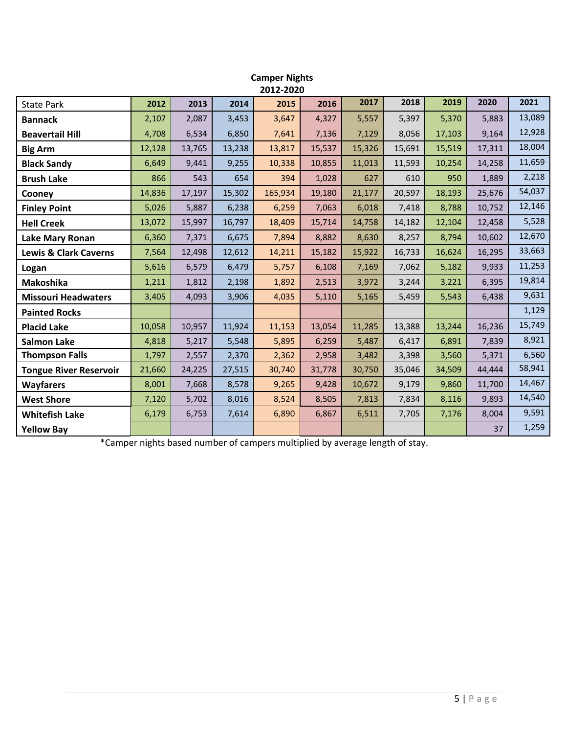|                                  |        |        |        | 2012-2020 |        |        |        |        |        |        |
|----------------------------------|--------|--------|--------|-----------|--------|--------|--------|--------|--------|--------|
| <b>State Park</b>                | 2012   | 2013   | 2014   | 2015      | 2016   | 2017   | 2018   | 2019   | 2020   | 2021   |
| <b>Bannack</b>                   | 2,107  | 2,087  | 3,453  | 3,647     | 4,327  | 5,557  | 5,397  | 5,370  | 5,883  | 13,089 |
| <b>Beavertail Hill</b>           | 4,708  | 6,534  | 6,850  | 7,641     | 7,136  | 7,129  | 8,056  | 17,103 | 9,164  | 12,928 |
| <b>Big Arm</b>                   | 12,128 | 13,765 | 13,238 | 13,817    | 15,537 | 15,326 | 15,691 | 15,519 | 17,311 | 18,004 |
| <b>Black Sandy</b>               | 6,649  | 9,441  | 9,255  | 10,338    | 10,855 | 11,013 | 11,593 | 10,254 | 14,258 | 11,659 |
| <b>Brush Lake</b>                | 866    | 543    | 654    | 394       | 1,028  | 627    | 610    | 950    | 1,889  | 2,218  |
| Cooney                           | 14,836 | 17,197 | 15,302 | 165,934   | 19,180 | 21,177 | 20,597 | 18,193 | 25,676 | 54,037 |
| <b>Finley Point</b>              | 5,026  | 5,887  | 6,238  | 6,259     | 7,063  | 6,018  | 7,418  | 8,788  | 10,752 | 12,146 |
| <b>Hell Creek</b>                | 13,072 | 15,997 | 16,797 | 18,409    | 15,714 | 14,758 | 14,182 | 12,104 | 12,458 | 5,528  |
| <b>Lake Mary Ronan</b>           | 6,360  | 7,371  | 6,675  | 7,894     | 8,882  | 8,630  | 8,257  | 8,794  | 10,602 | 12,670 |
| <b>Lewis &amp; Clark Caverns</b> | 7,564  | 12,498 | 12,612 | 14,211    | 15,182 | 15,922 | 16,733 | 16,624 | 16,295 | 33,663 |
| Logan                            | 5,616  | 6,579  | 6,479  | 5,757     | 6,108  | 7,169  | 7,062  | 5,182  | 9,933  | 11,253 |
| <b>Makoshika</b>                 | 1,211  | 1,812  | 2,198  | 1,892     | 2,513  | 3,972  | 3,244  | 3,221  | 6,395  | 19,814 |
| <b>Missouri Headwaters</b>       | 3,405  | 4,093  | 3,906  | 4,035     | 5,110  | 5,165  | 5,459  | 5,543  | 6,438  | 9,631  |
| <b>Painted Rocks</b>             |        |        |        |           |        |        |        |        |        | 1,129  |
| <b>Placid Lake</b>               | 10,058 | 10,957 | 11,924 | 11,153    | 13,054 | 11,285 | 13,388 | 13,244 | 16,236 | 15,749 |
| <b>Salmon Lake</b>               | 4,818  | 5,217  | 5,548  | 5,895     | 6,259  | 5,487  | 6,417  | 6,891  | 7,839  | 8,921  |
| <b>Thompson Falls</b>            | 1,797  | 2,557  | 2,370  | 2,362     | 2,958  | 3,482  | 3,398  | 3,560  | 5,371  | 6,560  |
| <b>Tongue River Reservoir</b>    | 21,660 | 24,225 | 27,515 | 30,740    | 31,778 | 30,750 | 35,046 | 34,509 | 44,444 | 58,941 |
| <b>Wayfarers</b>                 | 8,001  | 7,668  | 8,578  | 9,265     | 9,428  | 10,672 | 9,179  | 9,860  | 11,700 | 14,467 |
| <b>West Shore</b>                | 7,120  | 5,702  | 8,016  | 8,524     | 8,505  | 7,813  | 7,834  | 8,116  | 9,893  | 14,540 |
| <b>Whitefish Lake</b>            | 6,179  | 6,753  | 7,614  | 6,890     | 6,867  | 6,511  | 7,705  | 7,176  | 8,004  | 9,591  |
| <b>Yellow Bay</b>                |        |        |        |           |        |        |        |        | 37     | 1,259  |

# **Camper Nights**

\*Camper nights based number of campers multiplied by average length of stay.